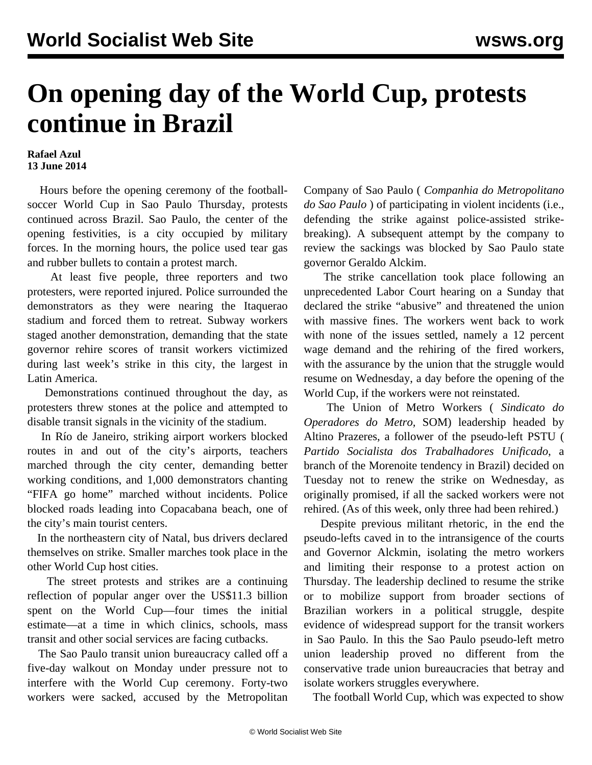## **On opening day of the World Cup, protests continue in Brazil**

## **Rafael Azul 13 June 2014**

 Hours before the opening ceremony of the footballsoccer World Cup in Sao Paulo Thursday, protests continued across Brazil. Sao Paulo, the center of the opening festivities, is a city occupied by military forces. In the morning hours, the police used tear gas and rubber bullets to contain a protest march.

 At least five people, three reporters and two protesters, were reported injured. Police surrounded the demonstrators as they were nearing the Itaquerao stadium and forced them to retreat. Subway workers staged another demonstration, demanding that the state governor rehire scores of transit workers victimized during last week's strike in this city, the largest in Latin America.

 Demonstrations continued throughout the day, as protesters threw stones at the police and attempted to disable transit signals in the vicinity of the stadium.

 In Río de Janeiro, striking airport workers blocked routes in and out of the city's airports, teachers marched through the city center, demanding better working conditions, and 1,000 demonstrators chanting "FIFA go home" marched without incidents. Police blocked roads leading into Copacabana beach, one of the city's main tourist centers.

 In the northeastern city of Natal, bus drivers declared themselves on strike. Smaller marches took place in the other World Cup host cities.

 The street protests and strikes are a continuing reflection of popular anger over the US\$11.3 billion spent on the World Cup—four times the initial estimate—at a time in which clinics, schools, mass transit and other social services are facing cutbacks.

 The Sao Paulo transit union bureaucracy called off a five-day walkout on Monday under pressure not to interfere with the World Cup ceremony. Forty-two workers were sacked, accused by the Metropolitan

Company of Sao Paulo ( *Companhia do Metropolitano do Sao Paulo* ) of participating in violent incidents (i.e., defending the strike against police-assisted strikebreaking). A subsequent attempt by the company to review the sackings was blocked by Sao Paulo state governor Geraldo Alckim.

 The strike cancellation took place following an unprecedented Labor Court hearing on a Sunday that declared the strike "abusive" and threatened the union with massive fines. The workers went back to work with none of the issues settled, namely a 12 percent wage demand and the rehiring of the fired workers, with the assurance by the union that the struggle would resume on Wednesday, a day before the opening of the World Cup, if the workers were not reinstated.

 The Union of Metro Workers ( *Sindicato do Operadores do Metro,* SOM) leadership headed by Altino Prazeres, a follower of the pseudo-left PSTU ( *Partido Socialista dos Trabalhadores Unificado*, a branch of the Morenoite tendency in Brazil) decided on Tuesday not to renew the strike on Wednesday, as originally promised, if all the sacked workers were not rehired. (As of this week, only three had been rehired.)

 Despite previous militant rhetoric, in the end the pseudo-lefts caved in to the intransigence of the courts and Governor Alckmin, isolating the metro workers and limiting their response to a protest action on Thursday. The leadership declined to resume the strike or to mobilize support from broader sections of Brazilian workers in a political struggle, despite evidence of widespread support for the transit workers in Sao Paulo. In this the Sao Paulo pseudo-left metro union leadership proved no different from the conservative trade union bureaucracies that betray and isolate workers struggles everywhere.

The football World Cup, which was expected to show